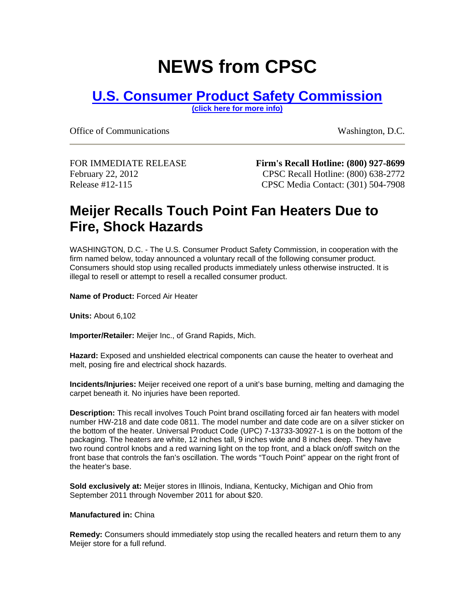## **NEWS from CPSC**

## **[U.S. Consumer Product Safety Commission](http://www.cpsc.gov/)**

**[\(click here for more info\)](http://www.cpsc.gov/)**

Office of Communications Washington, D.C.

FOR IMMEDIATE RELEASE February 22, 2012 Release #12-115

**Firm's Recall Hotline: (800) 927-8699** CPSC Recall Hotline: (800) 638-2772 CPSC Media Contact: (301) 504-7908

## **Meijer Recalls Touch Point Fan Heaters Due to Fire, Shock Hazards**

WASHINGTON, D.C. - The U.S. Consumer Product Safety Commission, in cooperation with the firm named below, today announced a voluntary recall of the following consumer product. Consumers should stop using recalled products immediately unless otherwise instructed. It is illegal to resell or attempt to resell a recalled consumer product.

**Name of Product:** Forced Air Heater

**Units:** About 6,102

**Importer/Retailer:** Meijer Inc., of Grand Rapids, Mich.

**Hazard:** Exposed and unshielded electrical components can cause the heater to overheat and melt, posing fire and electrical shock hazards.

**Incidents/Injuries:** Meijer received one report of a unit's base burning, melting and damaging the carpet beneath it. No injuries have been reported.

**Description:** This recall involves Touch Point brand oscillating forced air fan heaters with model number HW-218 and date code 0811. The model number and date code are on a silver sticker on the bottom of the heater. Universal Product Code (UPC) 7-13733-30927-1 is on the bottom of the packaging. The heaters are white, 12 inches tall, 9 inches wide and 8 inches deep. They have two round control knobs and a red warning light on the top front, and a black on/off switch on the front base that controls the fan's oscillation. The words "Touch Point" appear on the right front of the heater's base.

**Sold exclusively at:** Meijer stores in Illinois, Indiana, Kentucky, Michigan and Ohio from September 2011 through November 2011 for about \$20.

## **Manufactured in:** China

**Remedy:** Consumers should immediately stop using the recalled heaters and return them to any Meijer store for a full refund.